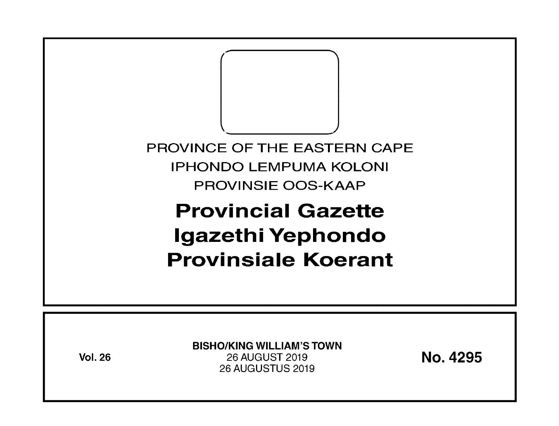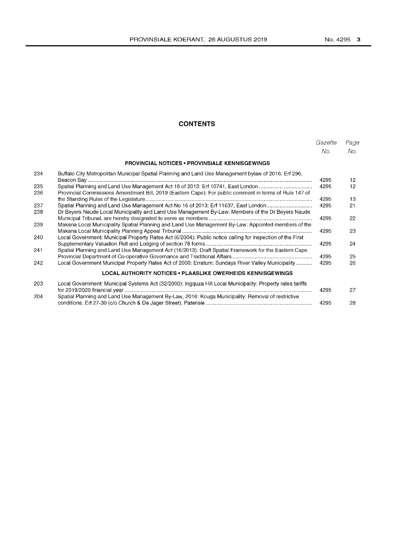## **CONTENTS**

|            |                                                                                                                                                                                           | Gazette<br>No. | Page<br>No.     |
|------------|-------------------------------------------------------------------------------------------------------------------------------------------------------------------------------------------|----------------|-----------------|
|            | <b>PROVINCIAL NOTICES • PROVINSIALE KENNISGEWINGS</b>                                                                                                                                     |                |                 |
| 234        | Buffalo City Metropolitan Municipal Spatial Planning and Land Use Management bylaw of 2016: Erf 296,                                                                                      |                |                 |
|            |                                                                                                                                                                                           | 4295           | 12 <sup>2</sup> |
| 235<br>236 | Spatial Planning and Land Use Management Act 16 of 2013: Erf 10741, East London<br>Provincial Commissions Amendment Bill, 2019 (Eastern Cape): For public comment in terms of Rule 147 of | 4295           | 12              |
|            |                                                                                                                                                                                           | 4295           | 13              |
| 237        | Spatial Planning and Land Use Management Act No 16 of 2013: Erf 11637, East London                                                                                                        | 4295           | 21              |
| 238        | Dr Beyers Naude Local Municipality and Land Use Management By-Law: Members of the Dr Beyers Naude                                                                                         |                |                 |
|            |                                                                                                                                                                                           | 4295           | 22              |
| 239        | Makana Local Municipality Spatial Planning and Land Use Management By-Law: Appointed members of the                                                                                       |                |                 |
|            |                                                                                                                                                                                           | 4295           | 23              |
| 240        | Local Government: Municipal Property Rates Act (6/2004): Public notice calling for inspection of the First                                                                                |                |                 |
|            |                                                                                                                                                                                           | 4295           | 24              |
| 241        | Spatial Planning and Land Use Management Act (16/2013): Draft Spatial Framework for the Eastern Cape                                                                                      |                |                 |
|            |                                                                                                                                                                                           | 4295           | 25              |
| 242        | Local Government Municipal Property Rates Act of 2000: Erratum: Sundays River Valley Municipality                                                                                         | 4295           | 26              |
|            | <b>LOCAL AUTHORITY NOTICES • PLAASLIKE OWERHEIDS KENNISGEWINGS</b>                                                                                                                        |                |                 |
| 203        | Local Government: Municipal Systems Act (32/2000): Ingquza Hill Local Municipality: Property rates tariffs                                                                                |                |                 |
|            |                                                                                                                                                                                           | 4295           | 27              |
| 204        | Spatial Planning and Land Use Management By-Law, 2016: Kouga Municipality: Removal of restrictive                                                                                         |                |                 |
|            |                                                                                                                                                                                           | 4295           | 28              |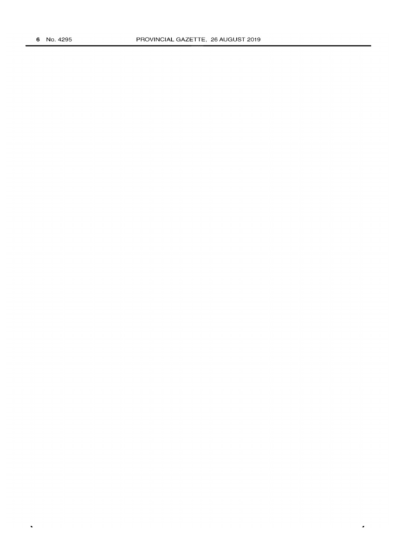$\hat{\mathbf{x}}$ 

 $\pmb{\cdot}$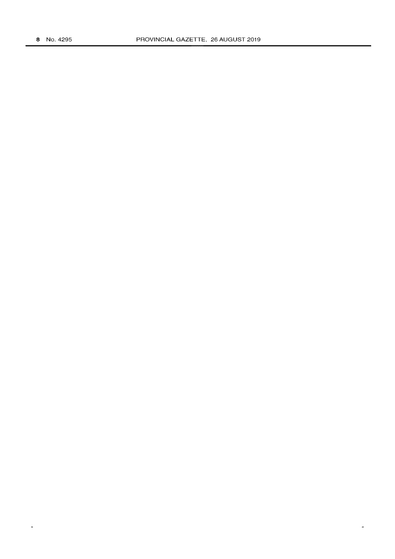$\Box$ 

 $\overline{\phantom{a}}$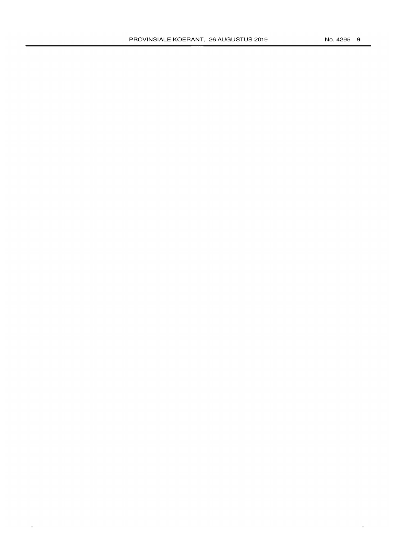$\ddot{\phantom{a}}$ 

 $\tilde{\phantom{a}}$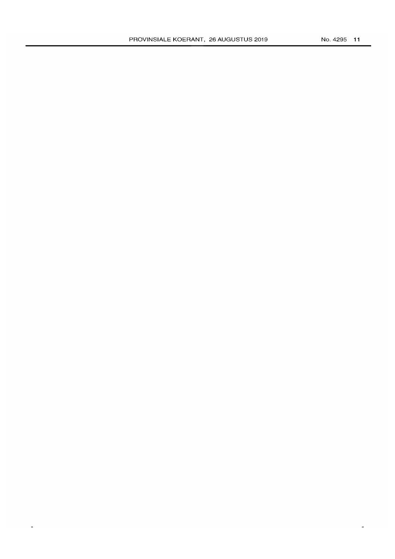$\ddot{\phantom{a}}$ 

 $\tilde{\phantom{a}}$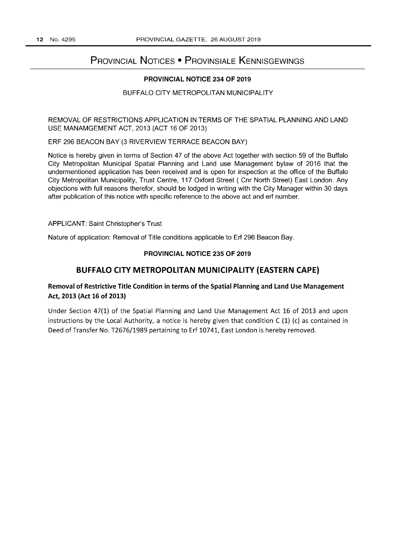# PROVINCIAL NOTICES • PROVINSIALE KENNISGEWINGS

#### PROVINCIAL NOTICE 234 OF 2019

#### BUFFALO CITY METROPOLITAN MUNICIPALITY

REMOVAL OF RESTRICTIONS APPLICATION IN TERMS OF THE SPATIAL PLANNING AND LAND USE MANAMGEMENT ACT, 2013 (ACT 16 OF 2013)

#### ERF 296 BEACON BAY (3 RIVERVIEW TERRACE BEACON BAY)

Notice is hereby given in terms of Section 47 of the above Act together with section 59 of the Buffalo City Metropolitan Municipal Spatial Planning and Land use Management bylaw of 2016 that the undermentioned application has been received and is open for inspection at the office of the Buffalo City Metropolitan Municipality, Trust Centre, 117 Oxford Street ( Cnr North Street) East London. Any objections with full reasons therefor, should be lodged in writing with the City Manager within 30 days after publication of this notice with specific reference to the above act and erf number.

#### APPLICANT: Saint Christopher's Trust

Nature of application: Removal of Title conditions applicable to Erf 296 Beacon Bay.

#### PROVINCIAL NOTICE 235 OF 2019

## **BUFFALO CITY METROPOLITAN MUNICIPALITY (EASTERN CAPE)**

## Removal of Restrictive Title Condition in terms of the Spatial Planning and Land Use Management Act, 2013 (Act 16 of 2013)

Under Section 47(1) of the Spatial Planning and Land Use Management Act 16 of 2013 and upon instructions by the Local Authority, a notice is hereby given that condition  $C(1)$  (c) as contained in Deed of Transfer No. T2676/1989 pertaining to Erf 10741, East London is hereby removed.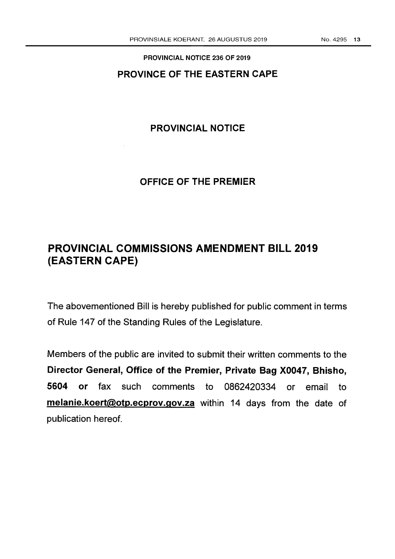## PROVINCIAL NOTICE 236 OF 2019

# **PROVINCE OF THE EASTERN CAPE**

# **PROVINCIAL NOTICE**

**OFFICE OF THE PREMIER** 

# **PROVINCIAL COMMISSIONS AMENDMENT BILL 2019 (EASTERN CAPE)**

The abovementioned Bill is hereby published for public comment in terms of Rule 147 of the Standing Rules of the Legislature.

Members of the public are invited to submit their written comments to the **Director General, Office of the Premier, Private Bag X0047, Bhisho, 5604 or** fax such comments to 0862420334 or email to **melanie.koert@otp.ecprov.gov.za** within 14 days from the date of publication hereof.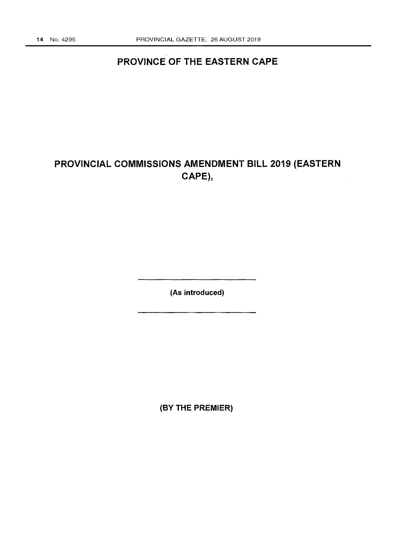# **PROVINCE OF THE EASTERN CAPE**

# **PROVINCIAL COMMISSIONS AMENDMENT BILL 2019 (EASTERN CAPE),**

**(As introduced)** 

**(BY THE PREMIER)**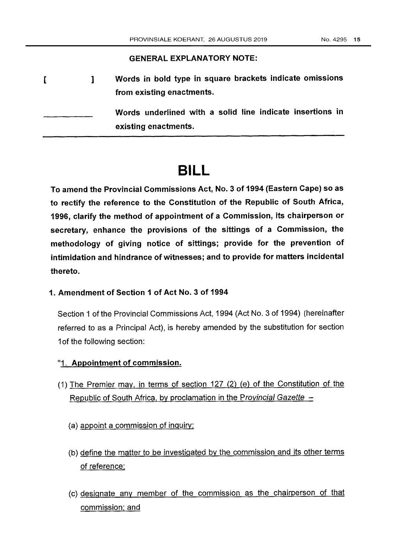## **GENERAL EXPLANATORY NOTE:**

|  | Words in bold type in square brackets indicate omissions<br>from existing enactments. |
|--|---------------------------------------------------------------------------------------|
|  | Words underlined with a solid line indicate insertions in                             |

**existing enactments.** 

# **BILL**

**To amend the Provincial Commissions Act, No.3 of 1994 (Eastern Cape) so as to rectify the reference to the Constitution of the Republic of South Africa, 1996, clarify the method of appointment of a Commission, its chairperson or secretary, enhance the provisions of the sittings of a Commission, the methodology of giving notice of sittings; provide for the prevention of intimidation and hindrance of witnesses; and to provide for matters incidental thereto.** 

# **1. Amendment of Section 1 of Act No.3 of 1994**

Section 1 of the Provincial Commissions Act, 1994 (Act No.3 of 1994) (hereinafter referred to as a Principal Act), is hereby amended by the substitution for section 1of the following section:

- "1. **Appointment of commission.**
- (1) The Premier may, in terms of section 127 (2) (e) of the Constitution of the Republic of South Africa, by proclamation in the Provincial Gazette  $-$ 
	- (a) appoint a commission of inquiry;
	- (b) define the matter to be investigated by the commission and its other terms of reference;
	- (c) designate any member of the commission as the chairperson of that commission; and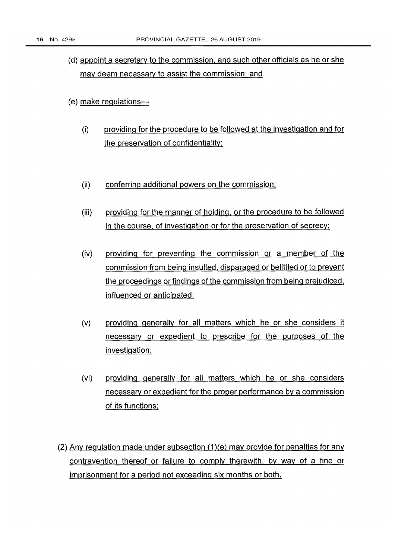# (d) appoint a secretary to the commission. and such other officials as he or she may deem necessary to assist the commission; and

- $(e)$  make regulations-
	- (i) providing for the procedure to be followed at the investigation and for the preservation of confidentiality;
	- (ii) conferring additional powers on the commission;
	- (iii) providing for the manner of holding. or the procedure to be followed in the course, of investigation or for the preservation of secrecy;
	- (iv) providing for preventing the commission or a member of the commission from being insulted, disparaged or belittled or to prevent the proceedings or findings of the commission from being prejudiced, influenced or anticipated;
	- (v) providing generally for all matters which he or she considers it necessary or expedient to prescribe for the purposes of the investigation;
	- (vi) providing generally for all matters which he or she considers necessary or expedient for the proper performance by a commission of its functions;
- (2) Any regulation made under subsection (1)(e) may provide for penalties for any contravention thereof or failure to comply therewith, by way of a fine or imprisonment for a period not exceeding six months or both.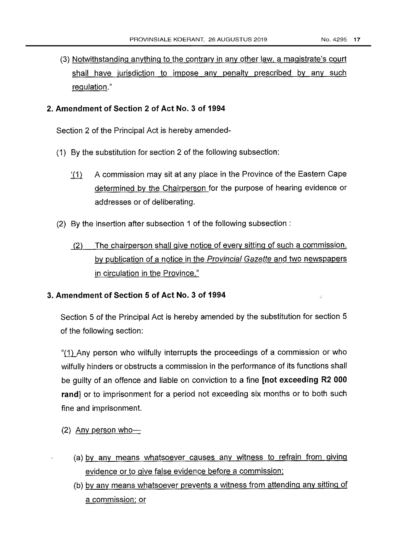(3) Notwithstanding anything to the contrary in any other law, a magistrate's court shall have jurisdiction to impose any penalty prescribed by any such regulation,"

## **2. Amendment of Section 2 of Act No.3 of 1994**

Section 2 of the Principal Act is hereby amended-

- (1) By the substitution for section 2 of the following subsection:
	- $i(1)$  A commission may sit at any place in the Province of the Eastern Cape determined by the Chairperson for the purpose of hearing evidence or addresses or of deliberating.
- (2) By the insertion after subsection 1 of the following subsection:
	- (2) The chairperson shall give notice of every sitting of such a commission. by publication of a notice in the Provincial Gazette and two newspapers in circulation in the Province."

## **3. Amendment of Section 5 of Act No.3 of 1994**

Section 5 of the Principal Act is hereby amended by the substitution for section 5 of the following section:

"(1) Any person who wilfully interrupts the proceedings of a commission or who wilfully hinders or obstructs a commission in the performance of its functions shall be guilty of an offence and liable on conviction to a fine **[not exceeding R2 000 rand]** or to imprisonment for a period not exceeding six months or to both such fine and imprisonment.

- (2) Any person who-
	- (a) by any means whatsoever causes any witness to refrain from giving evidence or to give false evidence before a commission;
	- (b) by any means whatsoever prevents a witness from attending any sitting of a commission; or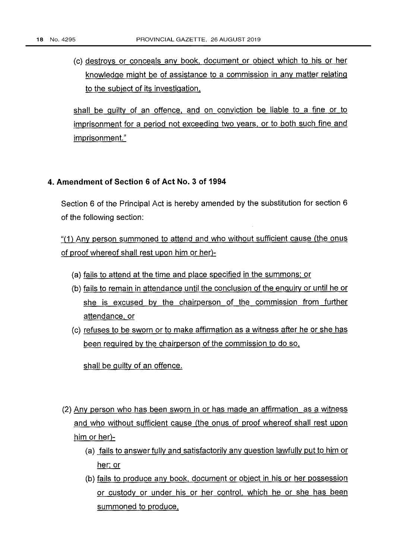(c) destroys or conceals any book, document or object which to his or her knowledge might be of assistance to a commission in any matter relating to the subject of its investigation,

shall be guilty of an offence, and on conviction be liable to a fine or to imprisonment for a period not exceeding two years, or to both such fine and imprisonment. "

## **4. Amendment of Section 6 of Act No.3 of 1994**

Section 6 of the Principal Act is hereby amended by the substitution for section 6 of the following section:

"(1) Any person summoned to attend and who without sufficient cause (the onus of proof whereof shall rest upon him or her)-

- (a) fails to attend at the time and place specified in the summons; or
- (b) fails to remain in attendance until the conclusion of the enquiry or until he or she is excused by the chairperson of the commission from further attendance, or
- (c) refuses to be sworn or to make affirmation as a witness after he or she has been required by the chairperson of the commission to do so,

shall be guilty of an offence.

- (2) Any person who has been sworn in or has made an affirmation as a witness and who without sufficient cause (the onus of proof whereof shall rest upon him or her)-
	- (a) fails to answer fully and satisfactorily any question lawfully put to him or her; or
	- (b) fails to produce any book, document or object in his or her possession or custody or under his or her control, which he or she has been summoned to produce,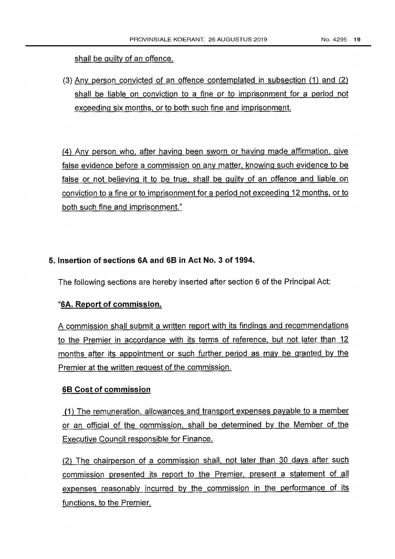shall be guilty of an offence.

(3) Any person convicted of an offence contemplated in subsection (1) and (2) shall be liable on conviction to a fine or to imprisonment for a period not exceeding six months. or to both such fine and imprisonment.

(4) Any person who, after having been sworn or having made affirmation. give false evidence before a commission on any matter. knowing such evidence to be false or not believing it to be true. shall be guilty of an offence and liable on conviction to a fine or to imprisonment for a period not exceeding 12 months, or to both such fine and imprisonment."

# **5. Insertion of sections SA and S8 in Act No.3 of 1994.**

The following sections are hereby inserted after section 6 of the Principal Act:

# "SA. **Report of commission.**

A commission shall submit a written report with its findings and recommendations to the Premier in accordance with its terms of reference. but not later than 12 months after its appointment or such further period as may be granted by the Premier at the written request of the commission.

# **S8 Cost of commission**

**(1)** The remuneration. allowances and transport expenses payable to a member or an official of the commission. shall be determined by the Member of the Executive Council responsible for Finance.

(2) The chairperson of a commission shall, not later than 30 days after such commission presented its report to the Premier. present a statement of all expenses reasonably incurred by the commission in the performance of its functions. to the Premier.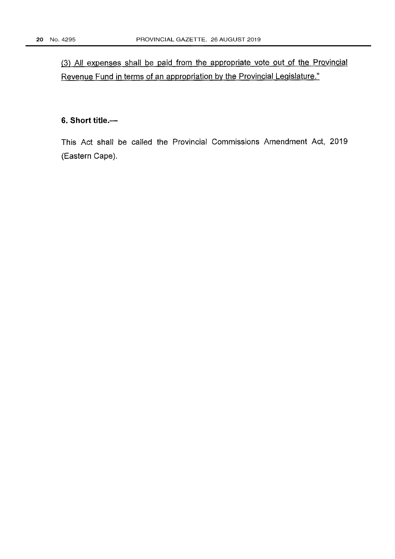(3) All expenses shall be paid from the appropriate vote out of the Provincial Revenue Fund in terms of an appropriation by the Provincial Legislature."

# **6. Short title.-**

This Act shall be called the Provincial Commissions Amendment Act, 2019 (Eastern Cape).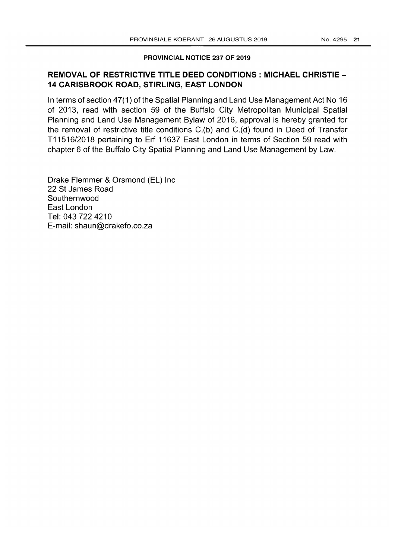#### **PROVINCIAL NOTICE** 237 **OF** 2019

# **REMOVAL OF RESTRICTIVE TITLE DEED CONDITIONS: MICHAEL CHRISTIE-14 CARISBROOK ROAD, STIRLING, EAST LONDON**

In terms of section 47(1) of the Spatial Planning and Land Use Management Act No 16 of 2013, read with section 59 of the Buffalo City Metropolitan Municipal Spatial Planning and Land Use Management Bylaw of 2016, approval is hereby granted for the removal of restrictive title conditions C.(b) and C.(d) found in Deed of Transfer T11516/2018 pertaining to Erf 11637 East London in terms of Section 59 read with chapter 6 of the Buffalo City Spatial Planning and Land Use Management by Law.

Drake Flemmer & Orsmond (EL) Inc 22 St James Road Southernwood East London Tel: 043 722 4210 E-mail: shaun@drakefo.co.za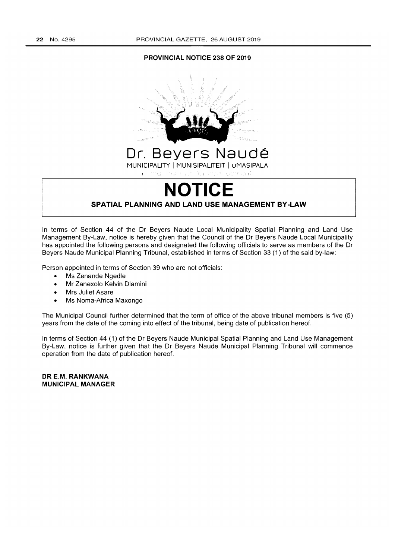#### **PROVINCIAL NOTICE 238 OF 2019**



# **SPATIAL PLANNING AND LAND USE MANAGEMENT BY-LAW**

In terms of Section 44 of the Dr Beyers Naude Local Municipality Spatial Planning and Land Use Management By-Law, notice is hereby given that the Council of the Dr Beyers Naude Local Municipality has appointed the following persons and designated the following officials to serve as members of the Dr Beyers Naude Municipal Planning Tribunal, established in terms of Section 33 (1) of the said by-law:

Person appointed in terms of Section 39 who are not officials:

- Ms Zenande Ngedle
- Mr Zanexolo Kelvin Dlamini
- **Mrs Juliet Asare**
- Ms Noma-Africa Maxongo

The Municipal Council further determined that the term of office of the above tribunal members is five (5) years from the date of the coming into effect of the tribunal, being date of publication hereof.

In terms of Section 44 (1) of the Dr Beyers Naude Municipal Spatial Planning and Land Use Management By-Law, notice is further given that the Dr Beyers Naude Municipal Planning Tribunal will commence operation from the date of publication hereof.

**DR** E.M. **RANKWANA MUNICIPAL MANAGER**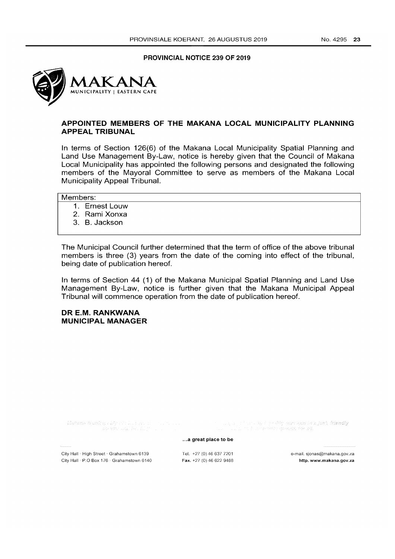PROVINCIAL NOTICE 239 OF 2019



#### APPOINTED MEMBERS OF THE MAKANA LOCAL MUNICIPALITY PLANNING APPEAL TRIBUNAL

In terms of Section 126(6) of the Makana Local Municipality Spatial Planning and Land Use Management By-Law, notice is hereby given that the Council of Makana Local Municipality has appointed the following persons and designated the following members of the Mayoral Committee to serve as members of the Makana Local Municipality Appeal Tribunal.

| 1embers: |
|----------|
|----------|

- 1. Ernest Louw
- 2. Rami Xonxa
- 3. B.Jackson

The Municipal Council further determined that the term of office of the above tribunal members is three (3) years from the date of the coming into effect of the tribunal, being date of publication hereof.

In terms of Section 44 (1) of the Makana Municipal Spatial Planning and Land Use Management By-Law, notice is further given that the Makana Municipal Appeal Tribunal will commence operation from the date of publication hereof.

DR E.M. RANKWANA MUNICIPAL MANAGER

 $\label{thm:main} \begin{split} \textit{Minkana Hamiltonian} &\textit{Hamimian} &\textit{Hamimian} &\textit{Hamimian} &\textit{Hamimian} &\textit{Hamimian} \\ &\textit{Hamimian} &\textit{Hamimian} &\textit{Hamimian} &\textit{Hamimian} &\textit{Hamimian} \end{split}$ 

ามายูก คาร์ (เช่น ค.ศ. 1903) ให้คุณชนิดให้ช่วย (เพช <mark>(เพช เพียชชน))</mark><br>และเริ่มได้และเริ่มเพยายากเปิด คุณหนัง ที่จะเสนี

... a great place to be

City Hall' High Street· Grahamstown 6139 City Hall · P.O Box 176 · Grahamstown 6140 Tel. +27 (0) 46637 7201 Fax. +27 (0) 46 622 9488

e-mail.sionas@makana.gov.za http. www.makana.gov.za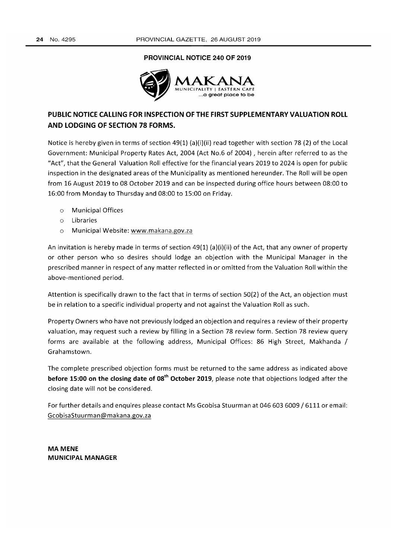#### **PROVINCIAL NOTICE 240 OF 2019**



# **PUBLIC NOTICE CALLING FOR INSPECTION OF THE FIRST SUPPLEMENTARY VALUATION ROLL AND LODGING OF SECTION 78 FORMS.**

Notice is hereby given in terms of section 49(1) (a)(i)(ii) read together with section 78 (2) of the Local Government: Municipal Property Rates Act, 2004 (Act No.6 of 2004) , herein after referred to as the "Act", that the General Valuation Roll effective for the financial years 2019 to 2024 is open for public inspection in the designated areas of the Municipality as mentioned hereunder. The Roll will be open from 16 August 2019 to 08 October 2019 and can be inspected during office hours between 08:00 to 16:00 from Monday to Thursday and 08:00 to 15:00 on Friday.

- o Municipal Offices
- o Libraries
- o Municipal Website: www.makana.gov.za

An invitation is hereby made in terms of section 49(1) (a)(i)(ii) of the Act, that any owner of property or other person who so desires should lodge an objection with the Municipal Manager in the prescribed manner in respect of any matter reflected in or omitted from the Valuation Roll within the above-mentioned period.

Attention is specifically drawn to the fact that in terms of section 50(2) of the Act, an objection must be in relation to a specific individual property and not against the Valuation Roll as such.

Property Owners who have not previously lodged an objection and requires a review oftheir property valuation, may request such a review by filling in a Section 78 review form. Section 78 review query forms are available at the following address, Municipal Offices: 86 High Street, Makhanda / Grahamstown.

The complete prescribed objection forms must be returned to the same address as indicated above **before 15:00 on the closing date of 08<sup>th</sup> October 2019**, please note that objections lodged after the closing date will not be considered.

For further details and enquires please contact Ms Gcobisa Stuurman at 046 603 6009/6111 or email: GcobisaStuurman@makana.gov.za

**MA MENE MUNICIPAL MANAGER**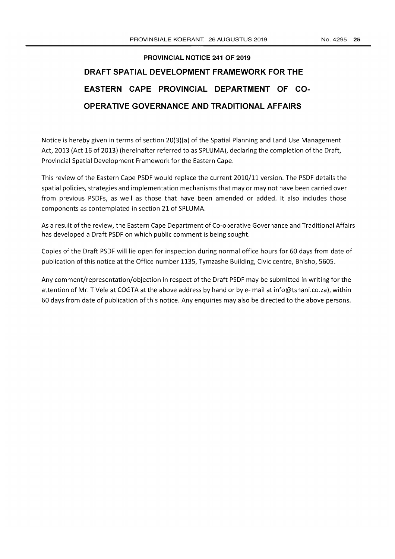# **PROVINCIAL NOTICE 241 OF 2019 DRAFT SPATIAL DEVELOPMENT FRAMEWORK FOR THE EASTERN CAPE PROVINCIAL DEPARTMENT OF CO-OPERATIVE GOVERNANCE AND TRADITIONAL AFFAIRS**

Notice is hereby given in terms of section 20(3)(a) of the Spatial Planning and Land Use Management Act, 2013 (Act 16 of 2013) (hereinafter referred to as SPLUMA), declaring the completion of the Draft, Provincial Spatial Development Framework for the Eastern Cape.

This review of the Eastern Cape PSDF would replace the current 2010/11 version. The PSDF details the spatial policies, strategies and implementation mechanisms that mayor may not have been carried over from previous PSDFs, as well as those that have been amended or added. It also includes those components as contemplated in section 21 of SPLUMA.

As a result of the review, the Eastern Cape Department of Co-operative Governance and Traditional Affairs has developed a Draft PSDF on which public comment is being sought.

Copies of the Draft PSDF will lie open for inspection during normal office hours for 60 days from date of publication of this notice at the Office number 1135, Tymzashe Building, Civic centre, Bhisho, 5605.

Any comment/representation/objection in respect of the Draft PSDF may be submitted in writing for the attention of Mr. T Vele at COGTA at the above address by hand or by e-mail atinfo@tshani.co.za). within 60 days from date of publication of this notice. Any enquiries may also be directed to the above persons.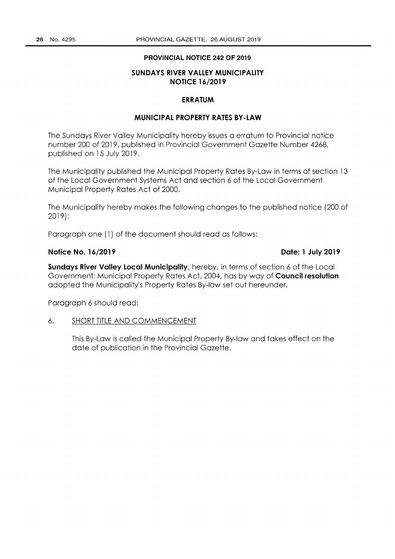#### **PROVINCIAL NOTICE 242 OF 2019**

### **SUNDAYS RIVER VALLEY MUNICIPALITY NOTICE 16/2019**

#### **ERRATUM**

#### **MUNICIPAL PROPERTY RATES BY-LAW**

The Sundays River Valley Municipality hereby issues a erratum to Provincial notice number 200 of 2019, published in Provincial Government Gazette Number 4268, published on 15 July 2019.

The Municipality published the Municipal Property Rates By-Law in terms of section 13 of the Local Government Systems Act and section 6 of the Local Government Municipal Property Rates Act of 2000.

The Municipality hereby makes the following changes to the published notice (200 of 2019):

Paragraph one (1) of the document should read as follows:

#### **Notice No. 16/2019 Date: 1 July 2019**

**Sundays River Valley Local Municipality,** hereby, in terms of section 6 of the Local Government: Municipal Property Rates Act, 2004, has by way of **Council resolution**  adopted the Municipality's Property Rates By-law set out hereunder.

Paragraph 6 should read:

6. SHORT TITLE AND COMMENCEMENT

This By-Law is called the Municipal Property By-law and takes effect on the date of publication in the Provincial Gazette.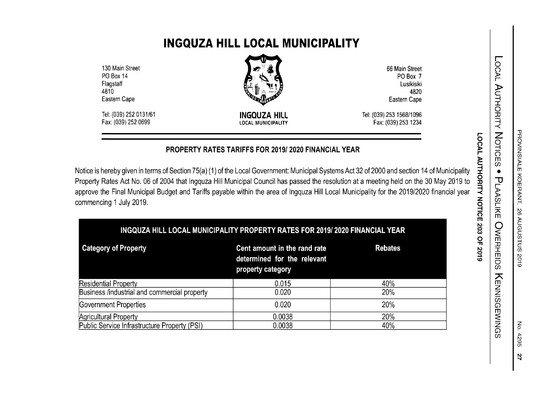#### 130 Main Street PO Box 14 Flagstaff 4810 Eastern Cape Tel: (039) 252 0131/61 Fax: (039) 252 0699 **INGQUZA HILL LOCAL MUNICIPALITY INGQUZA HILL**  LOCAL MUNICIPALITY 66 Main Street PO Box 7 Lusikisiki 4820 Eastern Cape Tel: (039) 253 1568/1096 Fax: (039) 2531234 Local AUTHORITY N<br>AUTHORITY N

# **PROPERTY RATES TARIFFS FOR 2019/2020 FINANCIAL YEAR**

Notice is hereby given in terms of Section 75(a) (1) of the Local Government: Municipal Systems Act 32 of 2000 and section 14 of Municipality Property Rates Act No. 06 of 2004 that Ingquza Hill Municipal Council has passed the resolution at a meeting held on the 30 May 2019 to approve the Final Municipal Budget and Tariffs payable within the area of Ingquza Hill Local Municipality for the 2019/2020 financial year commencing 1 July 2019.

| INGQUZA HILL LOCAL MUNICIPALITY PROPERTY RATES FOR 2019/2020 FINANCIAL YEAR |                                                                                  |                |  |  |  |  |
|-----------------------------------------------------------------------------|----------------------------------------------------------------------------------|----------------|--|--|--|--|
| <b>Category of Property</b>                                                 | Cent amount in the rand rate<br>determined for the relevant<br>property category | <b>Rebates</b> |  |  |  |  |
| <b>Residential Property</b>                                                 | 0.015                                                                            | 40%            |  |  |  |  |
| Business /industrial and commercial property                                | 0.020                                                                            | 20%            |  |  |  |  |
| Government Properties                                                       | 0.020                                                                            | 20%            |  |  |  |  |
| Agricultural Property                                                       | 0.0038                                                                           | 20%            |  |  |  |  |
| Public Service Infrastructure Property (PSI)                                | 0.0038                                                                           | 40%            |  |  |  |  |

<sup>r</sup>0 » m C: | -<br>| -<br>| -<br>| D:HO PLASLIKE<br>PLASLIKE O<br>NER<br>203 OE ⊑ | ی<br>ה | 0  $\frac{25}{9}$ **KENNISG** 

lJ JJ

NOINLE KOERANT, 26 AUGUSTUS

5019

EWNG<br>G

 $\omega$ 

 $\mathbf{\hat{S}}$ 

No. 4295  $\mathbf{z}$